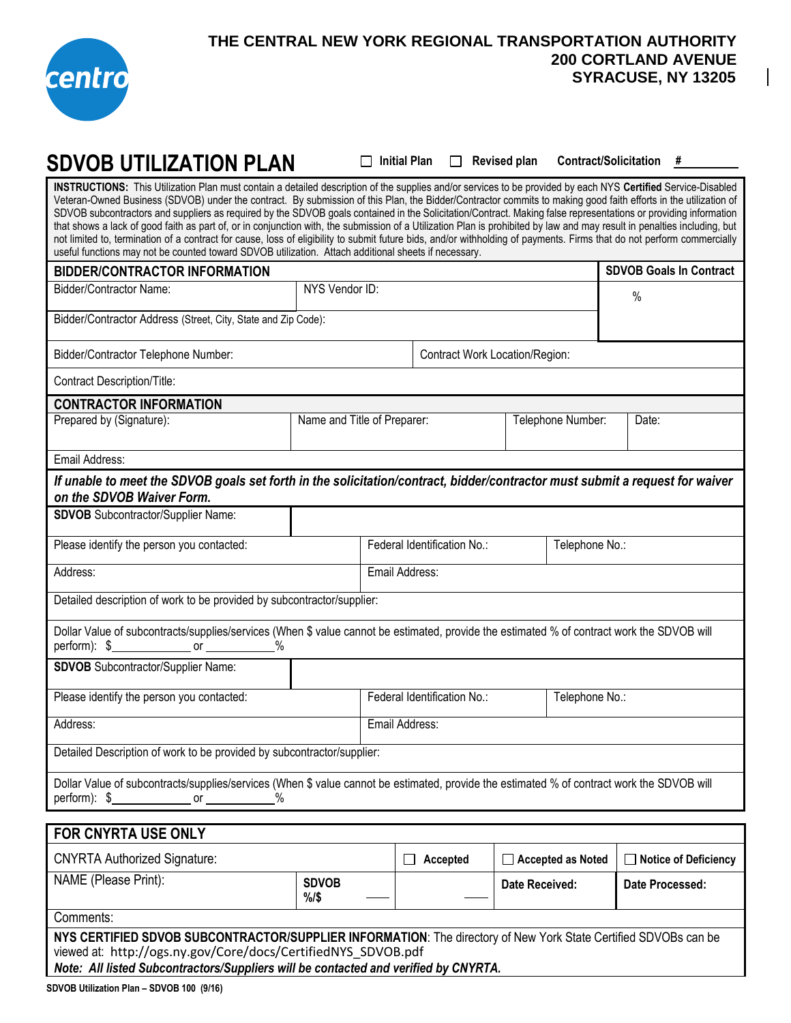

## **SDVOB UTILIZATION PLAN Initial Plan Revised plan Contract/Solicitation** *#*

**INSTRUCTIONS:** This Utilization Plan must contain a detailed description of the supplies and/or services to be provided by each NYS **Certified** Service-Disabled Veteran-Owned Business (SDVOB) under the contract. By submission of this Plan, the Bidder/Contractor commits to making good faith efforts in the utilization of SDVOB subcontractors and suppliers as required by the SDVOB goals contained in the Solicitation/Contract. Making false representations or providing information that shows a lack of good faith as part of, or in conjunction with, the submission of a Utilization Plan is prohibited by law and may result in penalties including, but not limited to, termination of a contract for cause, loss of eligibility to submit future bids, and/or withholding of payments. Firms that do not perform commercially useful functions may not be counted toward SDVOB utilization. Attach additional sheets if necessary.

| <b>BIDDER/CONTRACTOR INFORMATION</b>                                                                                                                             |                                |                             |                   |       | <b>SDVOB Goals In Contract</b> |  |  |  |
|------------------------------------------------------------------------------------------------------------------------------------------------------------------|--------------------------------|-----------------------------|-------------------|-------|--------------------------------|--|--|--|
| <b>Bidder/Contractor Name:</b>                                                                                                                                   | NYS Vendor ID:                 |                             |                   | $\%$  |                                |  |  |  |
| Bidder/Contractor Address (Street, City, State and Zip Code):                                                                                                    |                                |                             |                   |       |                                |  |  |  |
| Bidder/Contractor Telephone Number:                                                                                                                              | Contract Work Location/Region: |                             |                   |       |                                |  |  |  |
| <b>Contract Description/Title:</b>                                                                                                                               |                                |                             |                   |       |                                |  |  |  |
| <b>CONTRACTOR INFORMATION</b>                                                                                                                                    |                                |                             |                   |       |                                |  |  |  |
| Prepared by (Signature):                                                                                                                                         | Name and Title of Preparer:    |                             | Telephone Number: | Date: |                                |  |  |  |
| Email Address:                                                                                                                                                   |                                |                             |                   |       |                                |  |  |  |
| If unable to meet the SDVOB goals set forth in the solicitation/contract, bidder/contractor must submit a request for waiver<br>on the SDVOB Waiver Form.        |                                |                             |                   |       |                                |  |  |  |
| <b>SDVOB</b> Subcontractor/Supplier Name:                                                                                                                        |                                |                             |                   |       |                                |  |  |  |
| Please identify the person you contacted:                                                                                                                        | Federal Identification No.:    |                             | Telephone No.:    |       |                                |  |  |  |
| Address:                                                                                                                                                         | Email Address:                 |                             |                   |       |                                |  |  |  |
| Detailed description of work to be provided by subcontractor/supplier:                                                                                           |                                |                             |                   |       |                                |  |  |  |
| Dollar Value of subcontracts/supplies/services (When \$ value cannot be estimated, provide the estimated % of contract work the SDVOB will<br>perform): \$<br>or |                                |                             |                   |       |                                |  |  |  |
| <b>SDVOB</b> Subcontractor/Supplier Name:                                                                                                                        |                                |                             |                   |       |                                |  |  |  |
| Please identify the person you contacted:                                                                                                                        |                                | Federal Identification No.: | Telephone No.:    |       |                                |  |  |  |
| Address:<br>Email Address:                                                                                                                                       |                                |                             |                   |       |                                |  |  |  |
| Detailed Description of work to be provided by subcontractor/supplier:                                                                                           |                                |                             |                   |       |                                |  |  |  |
| Dollar Value of subcontracts/supplies/services (When \$ value cannot be estimated, provide the estimated % of contract work the SDVOB will<br>perform): \$<br>or |                                |                             |                   |       |                                |  |  |  |

| <b>FOR CNYRTA USE ONLY</b>                                                                                                                                                                                                                                              |                      |          |                          |                        |  |  |  |
|-------------------------------------------------------------------------------------------------------------------------------------------------------------------------------------------------------------------------------------------------------------------------|----------------------|----------|--------------------------|------------------------|--|--|--|
| <b>CNYRTA Authorized Signature:</b>                                                                                                                                                                                                                                     |                      | Accepted | $\Box$ Accepted as Noted | □ Notice of Deficiency |  |  |  |
| NAME (Please Print):                                                                                                                                                                                                                                                    | <b>SDVOB</b><br>%/\$ |          | Date Received:           | Date Processed:        |  |  |  |
| Comments:                                                                                                                                                                                                                                                               |                      |          |                          |                        |  |  |  |
| NYS CERTIFIED SDVOB SUBCONTRACTOR/SUPPLIER INFORMATION: The directory of New York State Certified SDVOBs can be<br>viewed at: http://ogs.ny.gov/Core/docs/CertifiedNYS SDVOB.pdf<br>Note: All listed Subcontractors/Suppliers will be contacted and verified by CNYRTA. |                      |          |                          |                        |  |  |  |